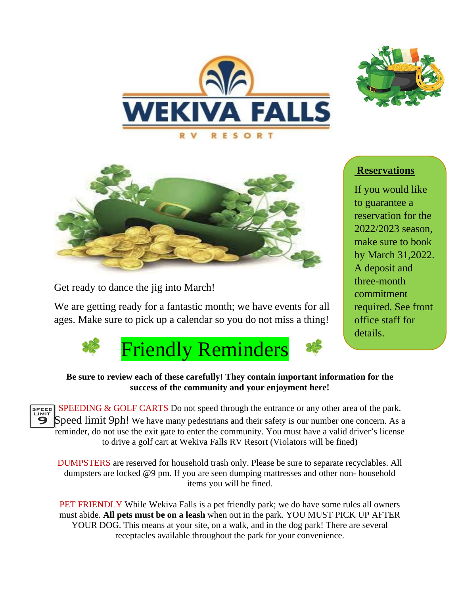





Get ready to dance the jig into March!

We are getting ready for a fantastic month; we have events for all ages. Make sure to pick up a calendar so you do not miss a thing!



## **Reservations**

If you would like to guarantee a reservation for the 2022/2023 season, make sure to book by March 31,2022. A deposit and three-month commitment required. See front office staff for details.

## **Be sure to review each of these carefully! They contain important information for the success of the community and your enjoyment here!**

SPEED SPEEDING & GOLF CARTS Do not speed through the entrance or any other area of the park. Speed limit 9ph! We have many pedestrians and their safety is our number one concern. As a reminder, do not use the exit gate to enter the community. You must have a valid driver's license to drive a golf cart at Wekiva Falls RV Resort (Violators will be fined)

DUMPSTERS are reserved for household trash only. Please be sure to separate recyclables. All dumpsters are locked @9 pm. If you are seen dumping mattresses and other non- household items you will be fined.

PET FRIENDLY While Wekiva Falls is a pet friendly park; we do have some rules all owners must abide. **All pets must be on a leash** when out in the park. YOU MUST PICK UP AFTER YOUR DOG. This means at your site, on a walk, and in the dog park! There are several receptacles available throughout the park for your convenience.